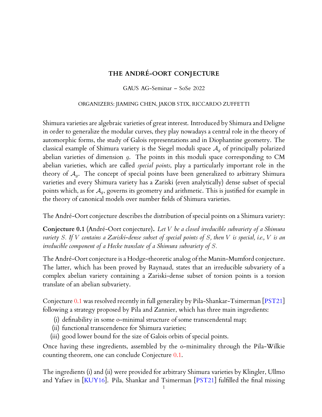## **THE ANDRÉ-OORT CONJECTURE**

#### GAUS AG-Seminar – SoSe 2022

#### ORGANIZERS: JIAMING CHEN, JAKOB STIX, RICCARDO ZUFFETTI

<span id="page-0-1"></span>Shimura varieties are algebraic varieties of great interest. Introduced by Shimura and Deligne in order to generalize the modular curves, they play nowadays a central role in the theory of automorphic forms, the study of Galois representations and in Diophantine geometry. The classical example of Shimura variety is the Siegel moduli space  $A_q$  of principally polarized abelian varieties of dimension g. The points in this moduli space corresponding to CM abelian varieties, which are called *special points*, play a particularly important role in the theory of  $\mathcal{A}_q$ . The concept of special points have been generalized to arbitrary Shimura varieties and every Shimura variety has a Zariski (even analytically) dense subset of special points which, as for  $A_q$ , governs its geometry and arithmetic. This is justified for example in the theory of canonical models over number fields of Shimura varieties.

The André-Oort conjecture describes the distribution of special points on a Shimura variety:

<span id="page-0-0"></span>**Conjecture 0.1** (André-Oort conjecture)**.** *Let* V *be a closed irreducible subvariety of a Shimura variety* S*. If* V *contains a Zariski-dense subset of special points of* S*, then* V *is special, i.e.,* V *is an irreducible component of a Hecke translate of a Shimura subvariety of* S*.*

The André-Oort conjecture is a Hodge-theoretic analog of the Manin-Mumford conjecture. The latter, which has been proved by Raynaud, states that an irreducible subvariety of a complex abelian variety containing a Zariski-dense subset of torsion points is a torsion translate of an abelian subvariety.

Conjecture [0.1](#page-0-0) was resolved recently in full generality by Pila-Shankar-Tsimerman [\[PST21\]](#page-6-0) following a strategy proposed by Pila and Zannier, which has three main ingredients:

- (i) definability in some o-minimal structure of some transcendental map;
- (ii) functional transcendence for Shimura varieties;
- (iii) good lower bound for the size of Galois orbits of special points.

Once having these ingredients, assembled by the o-minimality through the Pila-Wilkie counting theorem, one can conclude Conjecture [0.1.](#page-0-0)

The ingredients (i) and (ii) were provided for arbitrary Shimura varieties by Klingler, Ullmo and Yafaev in [\[KUY16\]](#page-6-1). Pila, Shankar and Tsimerman [\[PST21\]](#page-6-0) fulfilled the final missing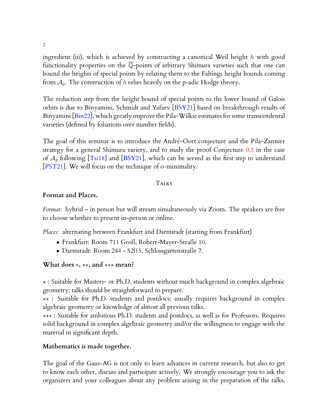ingredient (iii), which is achieved by constructing a canonical Weil height h with good functionality properties on the Q-points of arbitrary Shimura varieties such that one can bound the heights of special points by relating them to the Faltings height bounds coming from  $A_q$ . The construction of h relies heavily on the p-adic Hodge theory.

The reduction step from the height bound of special points to the lower bound of Galois orbits is due to Binyamini, Schmidt and Yafaev [\[BSY21\]](#page-5-0) based on breakthrough results of Binyamini [\[Bin22\]](#page-5-1), which greatly improve the Pila-Wilkie estimates for some transcendental varieties (defined by foliations over number fields).

The goal of this seminar is to introduce the André-Oort conjecture and the Pila-Zannier strategy for a general Shimura variety, and to study the proof Conjecture [0.1](#page-0-0) in the case of  $A_q$  following [\[Tsi18\]](#page-6-2) and [\[BSY21\]](#page-5-0), which can be served as the first step to understand [\[PST21\]](#page-6-0). We will focus on the technique of o-minimality.

### TALKS

### **Format and Places.**

*Format:* hybrid – in person but will stream simultaneously via Zoom. The speakers are free to choose whether to present in-person or online.

*Places:* alternating between Frankfurt and Darmstadt (starting from Frankfurt)

- Frankfurt: Room 711 Groß, Robert-Mayer-Straße 10.
- Darmstadt: Room 244 S2|15, Schlossgartenstraße 7.

### **What does**  $\star$ ,  $\star\star$ , and  $\star\star\star$  mean?

? : Suitable for Masters- or Ph.D. students without much background in complex algebraic geometry; talks should be straightforward to prepare.

 $\star\star$  : Suitable for Ph.D. students and postdocs; usually requires background in complex algebraic geometry or knowledge of almost all previous talks.

 $\star\star\star$  : Suitable for ambitious Ph.D. students and postdocs, as well as for Professors. Requires solid background in complex algebraic geometry and/or the willingness to engage with the material in significant depth.

### **Mathematics is made together.**

The goal of the Gaus-AG is not only to learn advances in current research, but also to get to know each other, discuss and participate actively. We strongly encourage you to ask the organizers and your colleagues about any problem arising in the preparation of the talks.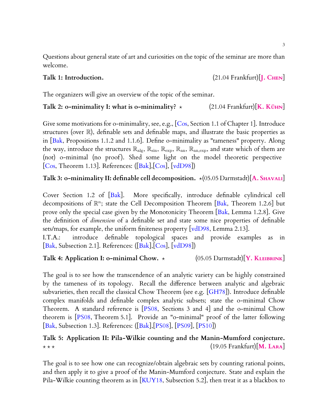Questions about general state of art and curiosities on the topic of the seminar are more than welcome.

### Talk 1: Introduction.  $(21.04 \text{ Frankfur})$  [J. CHEN]

The organizers will give an overview of the topic of the seminar.

# **Talk 2: o-minimality I: what is o-minimality?**  $\star$  (21.04 Frankfurt)[**K.** KÜHN]

Give some motivations for 0-minimality, see, e.g.,  $|Cos, Section 1.1$  of Chapter 1]. Introduce structures (over R), definable sets and definable maps, and illustrate the basic properties as in  $[Bak,$  Propositions 1.1.2 and 1.1.6]. Define o-minimality as "tameness" property. Along the way, introduce the structures  $\mathbb{R}_{\text{alg}}, \mathbb{R}_{\text{sin}}, \mathbb{R}_{\text{exp}}, \mathbb{R}_{\text{an}}, \mathbb{R}_{\text{an,exp}}$ , and state which of them are (not) o-minimal (no proof). Shed some light on the model theoretic perspective [\[Cos,](#page-5-2) Theorem 1.13]. References:  $([Bak], [Cos], [vdD98])$  $([Bak], [Cos], [vdD98])$  $([Bak], [Cos], [vdD98])$  $([Bak], [Cos], [vdD98])$  $([Bak], [Cos], [vdD98])$  $([Bak], [Cos], [vdD98])$  $([Bak], [Cos], [vdD98])$ 

# **Talk 3: o-minimality II: definable cell decomposition.** \* (05.05 Darmstadt)[A. SHAVALI]

Cover Section 1.2 of [\[Bak\]](#page-5-3). More specifically, introduce definable cylindrical cell decompositions of  $\mathbb{R}^n$ : state the Cell Decomposition Theorem [\[Bak,](#page-5-3) Theorem 1.2.6] but prove only the special case given by the Monotonicity Theorem  $[Bak, Lemma 1.2.8]$  $[Bak, Lemma 1.2.8]$ . Give the definition of *dimension* of a definable set and state some nice properties of definable sets/maps, for example, the uniform finiteness property  $\lceil \text{vdD98}, \text{Lemma 2.13} \rceil$ .

I.T.A.: introduce definable topological spaces and provide examples as in [\[Bak,](#page-5-3) Subsection 2.1]. References: ([\[Bak\]](#page-5-3),[\[Cos\]](#page-5-2), [\[vdD98\]](#page-6-3))

# **Talk 4: Application I: o-minimal Chow.**  $\star$  (05.05 Darmstadt)[**Y. KLEIBRINK**]

The goal is to see how the transcendence of an analytic variety can be highly constrained by the tameness of its topology. Recall the difference between analytic and algebraic subvarieties, then recall the classical Chow Theorem (see e.g. [\[GH78\]](#page-6-4)). Introduce definable complex manifolds and definable complex analytic subsets; state the o-minimal Chow Theorem. A standard reference is [\[PS08,](#page-6-5) Sections 3 and 4] and the o-minimal Chow theorem is [\[PS08,](#page-6-5) Theorem 5.1]. Provide an "o-minimal" proof of the latter following [\[Bak,](#page-5-3) Subsection 1.3]. References: ([\[Bak\]](#page-5-3),[\[PS08\]](#page-6-5), [\[PS09\]](#page-6-6), [\[PS10\]](#page-6-7))

# **Talk 5: Application II: Pila-Wilkie counting and the Manin-Mumford conjecture.**  $\star \star \star$  (19.05 Frankfurt)[**M. LARA**]

The goal is to see how one can recognize/obtain algebraic sets by counting rational points, and then apply it to give a proof of the Manin-Mumford conjecture. State and explain the Pila-Wilkie counting theorem as in [\[KUY18,](#page-6-8) Subsection 5.2], then treat it as a blackbox to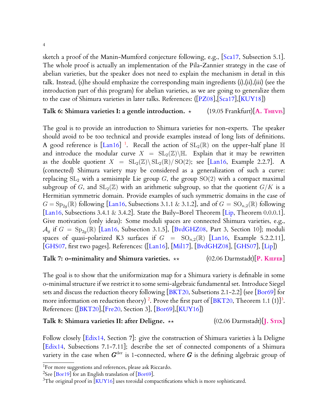sketch a proof of the Manin-Mumford conjecture following, e.g., [\[Sca17,](#page-6-9) Subsection 5.1]. The whole proof is actually an implementation of the Pila-Zannier strategy in the case of abelian varieties, but the speaker does not need to explain the mechanism in detail in this talk. Instead, (s)he should emphasize the corresponding main ingredients (i),(ii),(iii) (see the introduction part of this program) for abelian varieties, as we are going to generalize them to the case of Shimura varieties in later talks. References: ([\[PZ08\]](#page-6-10),[\[Sca17\]](#page-6-9),[\[KUY18\]](#page-6-8))

### **Talk 6: Shimura varieties I: a gentle introduction.**  $\star$  (19.05 Frankfurt)[A. THEVIS]

The goal is to provide an introduction to Shimura varieties for non-experts. The speaker should avoid to be too technical and provide examples instead of long lists of definitions. A good reference is  $\text{[Lan16]}$  $\text{[Lan16]}$  $\text{[Lan16]}$ <sup>[1](#page-0-1)</sup>. Recall the action of  $\text{SL}_2(\mathbb{R})$  on the upper-half plane  $\mathbb H$ and introduce the modular curve  $X = SL_2(\mathbb{Z})\backslash \mathbb{H}$ . Explain that it may be rewritten as the double quotient  $X = SL_2(\mathbb{Z}) \backslash SL_2(\mathbb{R}) / SO(2)$ ; see [\[Lan16,](#page-6-11) Example 2.2.7]. A (connected) Shimura variety may be considered as a generalization of such a curve: replacing  $SL_2$  with a semisimple Lie group  $G$ , the group  $SO(2)$  with a compact maximal subgroup of G, and  $\mathrm{SL}_2(\mathbb{Z})$  with an arithmetic subgroup, so that the quotient  $G/K$  is a Hermitian symmetric domain. Provide examples of such symmetric domains in the case of  $G = \text{Sp}_{2g}(\mathbb{R})$  following [\[Lan16,](#page-6-11) Subsections 3.1.1 & 3.1.2], and of  $G = \text{SO}_{n,2}(\mathbb{R})$  following [\[Lan16,](#page-6-11) Subsections 3.4.1 & 3.4.2]. State the Baily–Borel Theorem [\[Lip,](#page-6-12) Theorem 0.0.0.1]. Give motivation (only ideas): Some moduli spaces are connected Shimura varieties, e.g.,  $\mathcal{A}_g$  if  $G = \text{Sp}_{2g}(\mathbb{R})$  [\[Lan16,](#page-6-11) Subsection 3.1.5], [\[BvdGHZ08,](#page-5-4) Part 3, Section 10]; moduli spaces of quasi-polarized K3 surfaces if  $G = SO_{n,2}(\mathbb{R})$  [\[Lan16,](#page-6-11) Example 5.2.2.11], [\[GHS07,](#page-6-13) first two pages]. References: ([\[Lan16\]](#page-6-11), [\[Mil17\]](#page-6-14), [\[BvdGHZ08\]](#page-5-4), [\[GHS07\]](#page-6-13), [\[Lip\]](#page-6-12))

### **Talk 7: o-minimality and Shimura varieties.** ?? (02.06 Darmstadt)[**P. KIEFER**]

The goal is to show that the uniformization map for a Shimura variety is definable in some o-minimal structure if we restrict it to some semi-algebraic fundamental set. Introduce Siegel sets and discuss the reduction theory following  $[BKT20,$  Subsetions 2.1-2.2] (see  $[Bor69]$  for more information on reduction theory)<sup>[2](#page-0-1)</sup>. Prove the first part of [\[BKT20,](#page-5-5) Theorem 1.1 (1)]<sup>[3](#page-0-1)</sup>. References: ([\[BKT20\]](#page-5-5),[\[Fre20,](#page-5-7) Section 3], [\[Bor69\]](#page-5-6),[\[KUY16\]](#page-6-1))

**Talk 8: Shimura varieties II: after Deligne.** ?? (02.06 Darmstadt)[**J. STIX**]

Follow closely [\[Edix14,](#page-5-8) Section 7]: give the construction of Shimura varieties à la Deligne [\[Edix14,](#page-5-8) Subsections 7.1-7.11]; describe the set of connected components of a Shimura variety in the case when  $G^{\operatorname{der}}$  is 1-connected, where  $G$  is the defining algebraic group of

 $1$ For more suggestions and references, please ask Riccardo.

 $2$ See  $\overline{[Bor19]}$  $\overline{[Bor19]}$  $\overline{[Bor19]}$  for an English translation of  $\overline{[Bor69]}$  $\overline{[Bor69]}$  $\overline{[Bor69]}$ .

 $3$ The original proof in [\[KUY16\]](#page-6-1) uses toroidal compactifications which is more sophisticated.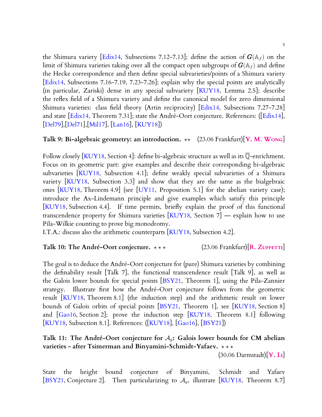the Shimura variety [\[Edix14,](#page-5-8) Subsections 7.12-7.13]; define the action of  $G(\mathbb{A}_f)$  on the limit of Shimura varieties taking over all the compact open subgroups of  $\mathbf{G}(\mathbb{A}_f)$  and define the Hecke correspondence and then define special subvarieties/points of a Shimura variety [\[Edix14,](#page-5-8) Subsections 7.16-7.19, 7.23-7.26]; explain why the special points are analytically (in particular, Zariski) dense in any special subvariety [\[KUY18,](#page-6-8) Lemma 2.5]; describe the reflex field of a Shimura variety and define the canonical model for zero dimensional Shimura varieties: class field theory (Artin reciprocity) [\[Edix14,](#page-5-8) Subsections 7.27-7.28] and state [\[Edix14,](#page-5-8) Theorem 7.31]; state the André-Oort conjecture. References: ([\[Edix14\]](#page-5-8), [\[Del79\]](#page-5-10),[\[Del71\]](#page-5-11),[\[Mil17\]](#page-6-14), [\[Lan16\]](#page-6-11), [\[KUY18\]](#page-6-8))

### **Talk 9: Bi-algebraic geometry: an introduction.**  $\star\star$  (23.06 Frankfurt)[**Y. M. W**ONG]

Follow closely [\[KUY18,](#page-6-8) Section 4]: define bi-algebraic structure as well as its  $\overline{\mathbb{Q}}$ -enrichment. Focus on its geometric part: give examples and describe their corresponding bi-algebraic subvarieties [\[KUY18,](#page-6-8) Subsection 4.1]; define weakly special subvarieties of a Shimura variety [\[KUY18,](#page-6-8) Subsection 3.3] and show that they are the same as the bialgebraic ones [\[KUY18,](#page-6-8) Theorem 4.9] (see [\[UY11,](#page-6-15) Proposition 5.1] for the abelian variety case); introduce the Ax-Lindemann principle and give examples which satisfy this principle [\[KUY18,](#page-6-8) Subsection 4.4]. If time permits, briefly explain the proof of this functional transcendence property for Shimura varieties [\[KUY18,](#page-6-8) Section 7] — explain how to use Pila-Wilkie counting to prove big monodromy.

I.T.A.: discuss also the arithmetic counterparts [\[KUY18,](#page-6-8) Subsection 4.2].

### **Talk 10: The André-Oort conjecture.**  $\star \star \star$  (23.06 Frankfurt)[**R.** ZUFFETTI]

The goal is to deduce the André-Oort conjecture for (pure) Shimura varieties by combining the definability result [Talk 7], the functional transcendence result [Talk 9], as well as the Galois lower bounds for special points [\[BSY21,](#page-5-0) Theorem 1], using the Pila-Zannier strategy. Illustrate first how the André-Oort conjecture follows from the geometric result [\[KUY18,](#page-6-8) Theorem 8.1] (the induction step) and the arithmetic result on lower bounds of Galois orbits of special points [\[BSY21,](#page-5-0) Theorem 1], see [\[KUY18,](#page-6-8) Section 8] and  $[Ga016, Section 2]$ ; prove the induction step  $[KUY18, Theorem 8.1]$  $[KUY18, Theorem 8.1]$  following [\[KUY18,](#page-6-8) Subsection 8.1]. References: ([\[KUY18\]](#page-6-8), [\[Gao16\]](#page-6-16), [\[BSY21\]](#page-5-0))

# **Talk 11: The André-Oort conjecture for** Ag**: Galois lower bounds for CM abelian varieties - after Tsimerman and Binyamini-Schmidt-Yafaev.**  $\star \star \star$

(30.06 Darmstadt)[**Y. LI**]

State the height bound conjecture of Binyamini, Schmidt and Yafaev [\[BSY21,](#page-5-0) Conjecture 2]. Then particularizing to  $A<sub>g</sub>$ , illustrate [\[KUY18,](#page-6-8) Theorem 8.7]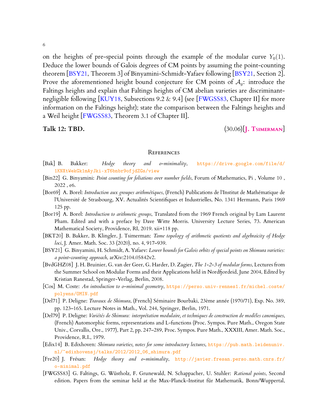6

on the heights of pre-special points through the example of the modular curve  $Y_0(1)$ . Deduce the lower bounds of Galois degrees of CM points by assuming the point-counting theorem [\[BSY21,](#page-5-0) Theorem 3] of Binyamini-Schmidt-Yafaev following [BSY21, Section 2]. Prove the aforementioned height bound conjecture for CM points of  $A_q$ : introduce the Faltings heights and explain that Faltings heights of CM abelian varieties are discriminant-negligible following [\[KUY18,](#page-6-8) Subsections 9.2  $\&$  9.4] (see [\[FWGSS83,](#page-5-12) Chapter II] for more information on the Faltings height); state the comparison between the Faltings heights and a Weil height [\[FWGSS83,](#page-5-12) Theorem 3.1 of Chapter II].

**Talk 12: TBD.** (30.06)[**J. TSIMERMAN**]

#### **REFERENCES**

- <span id="page-5-3"></span>[Bak] B. Bakker: *Hodge theory and o-minimality*, [https://drive.google.com/file/d/](https://drive.google.com/file/d/1KNXtWekGk1mAyJki-xT6bnbr9ofjdZGs/view) [1KNXtWekGk1mAyJki-xT6bnbr9ofjdZGs/view](https://drive.google.com/file/d/1KNXtWekGk1mAyJki-xT6bnbr9ofjdZGs/view)
- <span id="page-5-1"></span>[Bin22] G. Binyamini: *Point counting for foliations over number fields*, Forum of Mathematics, Pi , Volume 10 , 2022 , e6.
- <span id="page-5-6"></span>[Bor69] A. Borel: *Introduction aux groupes arithmétiques*, (French) Publications de l'Institut de Mathématique de l'Université de Strasbourg, XV. Actualités Scientifiques et Industrielles, No. 1341 Hermann, Paris 1969 125 pp.
- <span id="page-5-9"></span>[Bor19] A. Borel: *Introduction to arithmetic groups*, Translated from the 1969 French original by Lam Laurent Pham. Edited and with a preface by Dave Witte Morris. University Lecture Series, 73. American Mathematical Society, Providence, RI, 2019. xii+118 pp.
- <span id="page-5-5"></span>[BKT20] B. Bakker, B. Klingler, J. Tsimerman: *Tame topology of arithmetic quotients and algebraicity of Hodge loci*, J. Amer. Math. Soc. 33 (2020), no. 4, 917–939.
- <span id="page-5-0"></span>[BSY21] G. Binyamini, H. Schmidt, A. Yafaev: *Lower bounds for Galois orbits of special points on Shimura varieties: a point-counting approach*, arXiv:2104.05842v2.
- <span id="page-5-4"></span>[BvdGHZ08] J. H. Bruinier, G. van der Geer, G. Harder, D. Zagier, *The 1-2-3 of modular forms*, Lectures from the Summer School on Modular Forms and their Applications held in Nordfjordeid, June 2004, Edited by Kristian Ranestad, Springer-Verlag, Berlin, 2008.
- <span id="page-5-2"></span>[Cos] M. Coste: *An introduction to o-minimal geometry*, [https://perso.univ-rennes1.fr/michel.coste/](https://perso.univ-rennes1.fr/michel.coste/polyens/OMIN.pdf) [polyens/OMIN.pdf](https://perso.univ-rennes1.fr/michel.coste/polyens/OMIN.pdf)
- <span id="page-5-11"></span>[Del71] P. Deligne: *Travaux de Shimura*, (French) Séminaire Bourbaki, 23ème année (1970/71), Exp. No. 389, pp. 123–165. Lecture Notes in Math., Vol. 244, Springer, Berlin, 1971.
- <span id="page-5-10"></span>[Del79] P. Deligne: *Variétés de Shimura: interprétation modulaire, et techniques de construction de modèles canoniques*, (French) Automorphic forms, representations and L-functions (Proc. Sympos. Pure Math., Oregon State Univ., Corvallis, Ore., 1977), Part 2, pp. 247–289, Proc. Sympos. Pure Math., XXXIII, Amer. Math. Soc., Providence, R.I., 1979.
- <span id="page-5-8"></span>[Edix14] B. Edixhoven: *Shimura varieties, notes for some introductory lectures*, [https://pub.math.leidenuniv.](https://pub.math.leidenuniv.nl/~edixhovensj/talks/2012/2012_06_shimura.pdf) [nl/~edixhovensj/talks/2012/2012\\_06\\_shimura.pdf](https://pub.math.leidenuniv.nl/~edixhovensj/talks/2012/2012_06_shimura.pdf)
- <span id="page-5-7"></span>[Fre20] J. Frésan: *Hodge theory and o-minimality*, [http://javier.fresan.perso.math.cnrs.fr/](http://javier.fresan.perso.math.cnrs.fr/o-minimal.pdf) [o-minimal.pdf](http://javier.fresan.perso.math.cnrs.fr/o-minimal.pdf)
- <span id="page-5-12"></span>[FWGSS83] G. Faltings, G. Wüstholz, F. Grunewald, N. Schappacher, U. Stuhler: *Rational points*, Second edition. Papers from the seminar held at the Max-Planck-Institut für Mathematik, Bonn/Wuppertal,